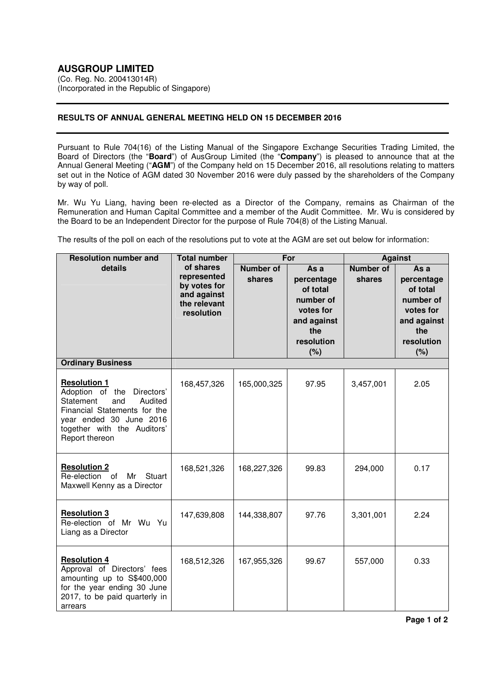(Co. Reg. No. 200413014R) (Incorporated in the Republic of Singapore)

## **RESULTS OF ANNUAL GENERAL MEETING HELD ON 15 DECEMBER 2016**

Pursuant to Rule 704(16) of the Listing Manual of the Singapore Exchange Securities Trading Limited, the Board of Directors (the "**Board**") of AusGroup Limited (the "**Company**") is pleased to announce that at the Annual General Meeting ("**AGM**") of the Company held on 15 December 2016, all resolutions relating to matters set out in the Notice of AGM dated 30 November 2016 were duly passed by the shareholders of the Company by way of poll.

Mr. Wu Yu Liang, having been re-elected as a Director of the Company, remains as Chairman of the Remuneration and Human Capital Committee and a member of the Audit Committee. Mr. Wu is considered by the Board to be an Independent Director for the purpose of Rule 704(8) of the Listing Manual.

The results of the poll on each of the resolutions put to vote at the AGM are set out below for information:

| <b>Resolution number and</b>                                                                                                                                                                    | <b>Total number</b>                                                                   | For                        |                                                                                                     | <b>Against</b>             |                                                                                                     |
|-------------------------------------------------------------------------------------------------------------------------------------------------------------------------------------------------|---------------------------------------------------------------------------------------|----------------------------|-----------------------------------------------------------------------------------------------------|----------------------------|-----------------------------------------------------------------------------------------------------|
| details                                                                                                                                                                                         | of shares<br>represented<br>by votes for<br>and against<br>the relevant<br>resolution | <b>Number of</b><br>shares | As a<br>percentage<br>of total<br>number of<br>votes for<br>and against<br>the<br>resolution<br>(%) | <b>Number of</b><br>shares | As a<br>percentage<br>of total<br>number of<br>votes for<br>and against<br>the<br>resolution<br>(%) |
| <b>Ordinary Business</b>                                                                                                                                                                        |                                                                                       |                            |                                                                                                     |                            |                                                                                                     |
| <b>Resolution 1</b><br>Adoption of the<br>Directors'<br>Statement<br>Audited<br>and<br>Financial Statements for the<br>year ended 30 June 2016<br>together with the Auditors'<br>Report thereon | 168,457,326                                                                           | 165,000,325                | 97.95                                                                                               | 3,457,001                  | 2.05                                                                                                |
| <b>Resolution 2</b><br>Re-election of<br>Mr<br><b>Stuart</b><br>Maxwell Kenny as a Director                                                                                                     | 168,521,326                                                                           | 168,227,326                | 99.83                                                                                               | 294,000                    | 0.17                                                                                                |
| <b>Resolution 3</b><br>Re-election of Mr Wu Yu<br>Liang as a Director                                                                                                                           | 147,639,808                                                                           | 144,338,807                | 97.76                                                                                               | 3,301,001                  | 2.24                                                                                                |
| <b>Resolution 4</b><br>Approval of Directors' fees<br>amounting up to S\$400,000<br>for the year ending 30 June<br>2017, to be paid quarterly in<br>arrears                                     | 168,512,326                                                                           | 167,955,326                | 99.67                                                                                               | 557,000                    | 0.33                                                                                                |